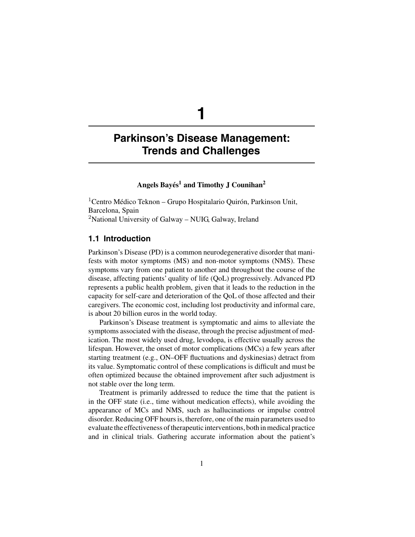**1**

# **Angels Bayés1 and Timothy J Counihan2**

<sup>1</sup> Centro Médico Teknon – Grupo Hospitalario Quirón, Parkinson Unit, Barcelona, Spain <sup>2</sup>National University of Galway – NUIG, Galway, Ireland

# **1.1 Introduction**

Parkinson's Disease (PD) is a common neurodegenerative disorder that manifests with motor symptoms (MS) and non-motor symptoms (NMS). These symptoms vary from one patient to another and throughout the course of the disease, affecting patients' quality of life (QoL) progressively. Advanced PD represents a public health problem, given that it leads to the reduction in the capacity for self-care and deterioration of the QoL of those affected and their caregivers. The economic cost, including lost productivity and informal care, is about 20 billion euros in the world today.

Parkinson's Disease treatment is symptomatic and aims to alleviate the symptoms associated with the disease, through the precise adjustment of medication. The most widely used drug, levodopa, is effective usually across the lifespan. However, the onset of motor complications (MCs) a few years after starting treatment (e.g., ON–OFF fluctuations and dyskinesias) detract from its value. Symptomatic control of these complications is difficult and must be often optimized because the obtained improvement after such adjustment is not stable over the long term.

Treatment is primarily addressed to reduce the time that the patient is in the OFF state (i.e., time without medication effects), while avoiding the appearance of MCs and NMS, such as hallucinations or impulse control disorder. Reducing OFF hours is, therefore, one of the main parameters used to evaluate the effectiveness of therapeutic interventions, both in medical practice and in clinical trials. Gathering accurate information about the patient's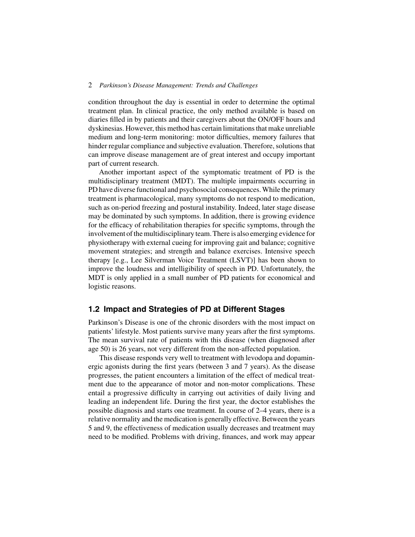condition throughout the day is essential in order to determine the optimal treatment plan. In clinical practice, the only method available is based on diaries filled in by patients and their caregivers about the ON/OFF hours and dyskinesias. However, this method has certain limitations that make unreliable medium and long-term monitoring: motor difficulties, memory failures that hinder regular compliance and subjective evaluation. Therefore, solutions that can improve disease management are of great interest and occupy important part of current research.

Another important aspect of the symptomatic treatment of PD is the multidisciplinary treatment (MDT). The multiple impairments occurring in PD have diverse functional and psychosocial consequences. While the primary treatment is pharmacological, many symptoms do not respond to medication, such as on-period freezing and postural instability. Indeed, later stage disease may be dominated by such symptoms. In addition, there is growing evidence for the efficacy of rehabilitation therapies for specific symptoms, through the involvement of the multidisciplinary team. There is also emerging evidence for physiotherapy with external cueing for improving gait and balance; cognitive movement strategies; and strength and balance exercises. Intensive speech therapy [e.g., Lee Silverman Voice Treatment (LSVT)] has been shown to improve the loudness and intelligibility of speech in PD. Unfortunately, the MDT is only applied in a small number of PD patients for economical and logistic reasons.

# **1.2 Impact and Strategies of PD at Different Stages**

Parkinson's Disease is one of the chronic disorders with the most impact on patients' lifestyle. Most patients survive many years after the first symptoms. The mean survival rate of patients with this disease (when diagnosed after age 50) is 26 years, not very different from the non-affected population.

This disease responds very well to treatment with levodopa and dopaminergic agonists during the first years (between 3 and 7 years). As the disease progresses, the patient encounters a limitation of the effect of medical treatment due to the appearance of motor and non-motor complications. These entail a progressive difficulty in carrying out activities of daily living and leading an independent life. During the first year, the doctor establishes the possible diagnosis and starts one treatment. In course of 2–4 years, there is a relative normality and the medication is generally effective. Between the years 5 and 9, the effectiveness of medication usually decreases and treatment may need to be modified. Problems with driving, finances, and work may appear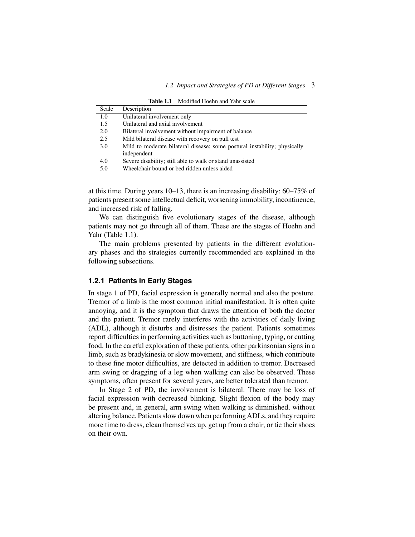| Scale | Description                                                               |
|-------|---------------------------------------------------------------------------|
| 1.0   | Unilateral involvement only                                               |
| 1.5   | Unilateral and axial involvement                                          |
| 2.0   | Bilateral involvement without impairment of balance                       |
| 2.5   | Mild bilateral disease with recovery on pull test                         |
| 3.0   | Mild to moderate bilateral disease; some postural instability; physically |
|       | independent                                                               |
| 4.0   | Severe disability; still able to walk or stand unassisted                 |
| 5.0   | Wheelchair bound or bed ridden unless aided                               |

**Table 1.1** Modified Hoehn and Yahr scale

at this time. During years 10–13, there is an increasing disability: 60–75% of patients present some intellectual deficit, worsening immobility, incontinence, and increased risk of falling.

We can distinguish five evolutionary stages of the disease, although patients may not go through all of them. These are the stages of Hoehn and Yahr (Table 1.1).

The main problems presented by patients in the different evolutionary phases and the strategies currently recommended are explained in the following subsections.

#### **1.2.1 Patients in Early Stages**

In stage 1 of PD, facial expression is generally normal and also the posture. Tremor of a limb is the most common initial manifestation. It is often quite annoying, and it is the symptom that draws the attention of both the doctor and the patient. Tremor rarely interferes with the activities of daily living (ADL), although it disturbs and distresses the patient. Patients sometimes report difficulties in performing activities such as buttoning, typing, or cutting food. In the careful exploration of these patients, other parkinsonian signs in a limb, such as bradykinesia or slow movement, and stiffness, which contribute to these fine motor difficulties, are detected in addition to tremor. Decreased arm swing or dragging of a leg when walking can also be observed. These symptoms, often present for several years, are better tolerated than tremor.

In Stage 2 of PD, the involvement is bilateral. There may be loss of facial expression with decreased blinking. Slight flexion of the body may be present and, in general, arm swing when walking is diminished, without altering balance. Patients slow down when performingADLs, and they require more time to dress, clean themselves up, get up from a chair, or tie their shoes on their own.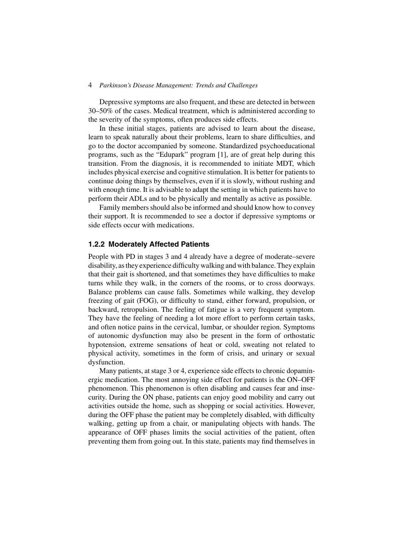Depressive symptoms are also frequent, and these are detected in between 30–50% of the cases. Medical treatment, which is administered according to the severity of the symptoms, often produces side effects.

In these initial stages, patients are advised to learn about the disease, learn to speak naturally about their problems, learn to share difficulties, and go to the doctor accompanied by someone. Standardized psychoeducational programs, such as the "Edupark" program [1], are of great help during this transition. From the diagnosis, it is recommended to initiate MDT, which includes physical exercise and cognitive stimulation. It is better for patients to continue doing things by themselves, even if it is slowly, without rushing and with enough time. It is advisable to adapt the setting in which patients have to perform their ADLs and to be physically and mentally as active as possible.

Family members should also be informed and should know how to convey their support. It is recommended to see a doctor if depressive symptoms or side effects occur with medications.

#### **1.2.2 Moderately Affected Patients**

People with PD in stages 3 and 4 already have a degree of moderate–severe disability, as they experience difficulty walking and with balance. They explain that their gait is shortened, and that sometimes they have difficulties to make turns while they walk, in the corners of the rooms, or to cross doorways. Balance problems can cause falls. Sometimes while walking, they develop freezing of gait (FOG), or difficulty to stand, either forward, propulsion, or backward, retropulsion. The feeling of fatigue is a very frequent symptom. They have the feeling of needing a lot more effort to perform certain tasks, and often notice pains in the cervical, lumbar, or shoulder region. Symptoms of autonomic dysfunction may also be present in the form of orthostatic hypotension, extreme sensations of heat or cold, sweating not related to physical activity, sometimes in the form of crisis, and urinary or sexual dysfunction.

Many patients, at stage 3 or 4, experience side effects to chronic dopaminergic medication. The most annoying side effect for patients is the ON–OFF phenomenon. This phenomenon is often disabling and causes fear and insecurity. During the ON phase, patients can enjoy good mobility and carry out activities outside the home, such as shopping or social activities. However, during the OFF phase the patient may be completely disabled, with difficulty walking, getting up from a chair, or manipulating objects with hands. The appearance of OFF phases limits the social activities of the patient, often preventing them from going out. In this state, patients may find themselves in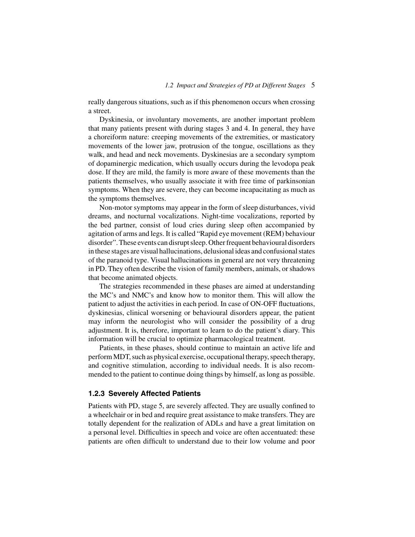really dangerous situations, such as if this phenomenon occurs when crossing a street.

Dyskinesia, or involuntary movements, are another important problem that many patients present with during stages 3 and 4. In general, they have a choreiform nature: creeping movements of the extremities, or masticatory movements of the lower jaw, protrusion of the tongue, oscillations as they walk, and head and neck movements. Dyskinesias are a secondary symptom of dopaminergic medication, which usually occurs during the levodopa peak dose. If they are mild, the family is more aware of these movements than the patients themselves, who usually associate it with free time of parkinsonian symptoms. When they are severe, they can become incapacitating as much as the symptoms themselves.

Non-motor symptoms may appear in the form of sleep disturbances, vivid dreams, and nocturnal vocalizations. Night-time vocalizations, reported by the bed partner, consist of loud cries during sleep often accompanied by agitation of arms and legs. It is called "Rapid eye movement (REM) behaviour disorder".These events can disrupt sleep. Other frequent behavioural disorders in these stages are visual hallucinations, delusional ideas and confusional states of the paranoid type. Visual hallucinations in general are not very threatening in PD. They often describe the vision of family members, animals, or shadows that become animated objects.

The strategies recommended in these phases are aimed at understanding the MC's and NMC's and know how to monitor them. This will allow the patient to adjust the activities in each period. In case of ON-OFF fluctuations, dyskinesias, clinical worsening or behavioural disorders appear, the patient may inform the neurologist who will consider the possibility of a drug adjustment. It is, therefore, important to learn to do the patient's diary. This information will be crucial to optimize pharmacological treatment.

Patients, in these phases, should continue to maintain an active life and perform MDT, such as physical exercise, occupational therapy, speech therapy, and cognitive stimulation, according to individual needs. It is also recommended to the patient to continue doing things by himself, as long as possible.

#### **1.2.3 Severely Affected Patients**

Patients with PD, stage 5, are severely affected. They are usually confined to a wheelchair or in bed and require great assistance to make transfers. They are totally dependent for the realization of ADLs and have a great limitation on a personal level. Difficulties in speech and voice are often accentuated: these patients are often difficult to understand due to their low volume and poor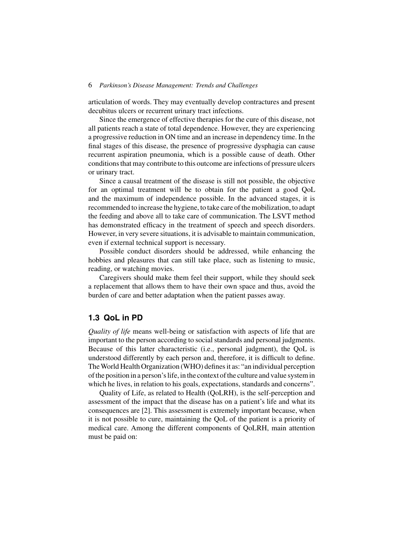articulation of words. They may eventually develop contractures and present decubitus ulcers or recurrent urinary tract infections.

Since the emergence of effective therapies for the cure of this disease, not all patients reach a state of total dependence. However, they are experiencing a progressive reduction in ON time and an increase in dependency time. In the final stages of this disease, the presence of progressive dysphagia can cause recurrent aspiration pneumonia, which is a possible cause of death. Other conditions that may contribute to this outcome are infections of pressure ulcers or urinary tract.

Since a causal treatment of the disease is still not possible, the objective for an optimal treatment will be to obtain for the patient a good QoL and the maximum of independence possible. In the advanced stages, it is recommended to increase the hygiene, to take care of the mobilization, to adapt the feeding and above all to take care of communication. The LSVT method has demonstrated efficacy in the treatment of speech and speech disorders. However, in very severe situations, it is advisable to maintain communication, even if external technical support is necessary.

Possible conduct disorders should be addressed, while enhancing the hobbies and pleasures that can still take place, such as listening to music, reading, or watching movies.

Caregivers should make them feel their support, while they should seek a replacement that allows them to have their own space and thus, avoid the burden of care and better adaptation when the patient passes away.

### **1.3 QoL in PD**

*Quality of life* means well-being or satisfaction with aspects of life that are important to the person according to social standards and personal judgments. Because of this latter characteristic (i.e., personal judgment), the QoL is understood differently by each person and, therefore, it is difficult to define. The World Health Organization (WHO) defines it as: "an individual perception of the position in a person's life, in the context of the culture and value system in which he lives, in relation to his goals, expectations, standards and concerns".

Quality of Life, as related to Health (QoLRH), is the self-perception and assessment of the impact that the disease has on a patient's life and what its consequences are [2]. This assessment is extremely important because, when it is not possible to cure, maintaining the QoL of the patient is a priority of medical care. Among the different components of QoLRH, main attention must be paid on: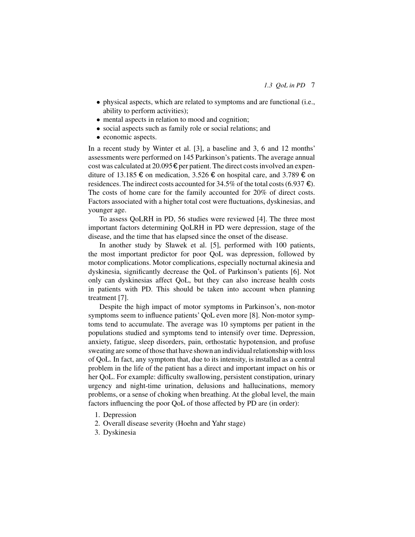- physical aspects, which are related to symptoms and are functional (i.e., ability to perform activities);
- mental aspects in relation to mood and cognition;
- social aspects such as family role or social relations; and
- economic aspects.

In a recent study by Winter et al. [3], a baseline and 3, 6 and 12 months' assessments were performed on 145 Parkinson's patients. The average annual cost was calculated at 20.095  $\epsilon$  per patient. The direct costs involved an expenditure of 13.185 € on medication, 3.526 € on hospital care, and 3.789 € on residences. The indirect costs accounted for 34.5% of the total costs (6.937  $\epsilon$ ). The costs of home care for the family accounted for 20% of direct costs. Factors associated with a higher total cost were fluctuations, dyskinesias, and younger age.

To assess QoLRH in PD, 56 studies were reviewed [4]. The three most important factors determining QoLRH in PD were depression, stage of the disease, and the time that has elapsed since the onset of the disease.

In another study by Sławek et al. [5], performed with 100 patients, the most important predictor for poor QoL was depression, followed by motor complications. Motor complications, especially nocturnal akinesia and dyskinesia, significantly decrease the QoL of Parkinson's patients [6]. Not only can dyskinesias affect QoL, but they can also increase health costs in patients with PD. This should be taken into account when planning treatment [7].

Despite the high impact of motor symptoms in Parkinson's, non-motor symptoms seem to influence patients' QoL even more [8]. Non-motor symptoms tend to accumulate. The average was 10 symptoms per patient in the populations studied and symptoms tend to intensify over time. Depression, anxiety, fatigue, sleep disorders, pain, orthostatic hypotension, and profuse sweating are some of those that have shown an individual relationship with loss of QoL. In fact, any symptom that, due to its intensity, is installed as a central problem in the life of the patient has a direct and important impact on his or her QoL. For example: difficulty swallowing, persistent constipation, urinary urgency and night-time urination, delusions and hallucinations, memory problems, or a sense of choking when breathing. At the global level, the main factors influencing the poor QoL of those affected by PD are (in order):

- 1. Depression
- 2. Overall disease severity (Hoehn and Yahr stage)
- 3. Dyskinesia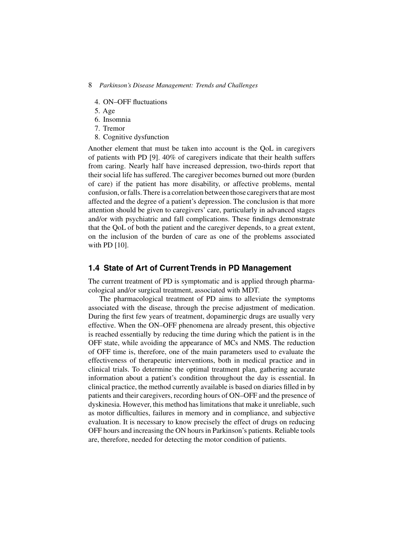- 4. ON–OFF fluctuations
- 5. Age
- 6. Insomnia
- 7. Tremor
- 8. Cognitive dysfunction

Another element that must be taken into account is the QoL in caregivers of patients with PD [9]. 40% of caregivers indicate that their health suffers from caring. Nearly half have increased depression, two-thirds report that their social life has suffered. The caregiver becomes burned out more (burden of care) if the patient has more disability, or affective problems, mental confusion, or falls.There is a correlation between those caregivers that are most affected and the degree of a patient's depression. The conclusion is that more attention should be given to caregivers' care, particularly in advanced stages and/or with psychiatric and fall complications. These findings demonstrate that the QoL of both the patient and the caregiver depends, to a great extent, on the inclusion of the burden of care as one of the problems associated with PD [10].

# **1.4 State of Art of Current Trends in PD Management**

The current treatment of PD is symptomatic and is applied through pharmacological and/or surgical treatment, associated with MDT.

The pharmacological treatment of PD aims to alleviate the symptoms associated with the disease, through the precise adjustment of medication. During the first few years of treatment, dopaminergic drugs are usually very effective. When the ON–OFF phenomena are already present, this objective is reached essentially by reducing the time during which the patient is in the OFF state, while avoiding the appearance of MCs and NMS. The reduction of OFF time is, therefore, one of the main parameters used to evaluate the effectiveness of therapeutic interventions, both in medical practice and in clinical trials. To determine the optimal treatment plan, gathering accurate information about a patient's condition throughout the day is essential. In clinical practice, the method currently available is based on diaries filled in by patients and their caregivers, recording hours of ON–OFF and the presence of dyskinesia. However, this method has limitations that make it unreliable, such as motor difficulties, failures in memory and in compliance, and subjective evaluation. It is necessary to know precisely the effect of drugs on reducing OFF hours and increasing the ON hours in Parkinson's patients. Reliable tools are, therefore, needed for detecting the motor condition of patients.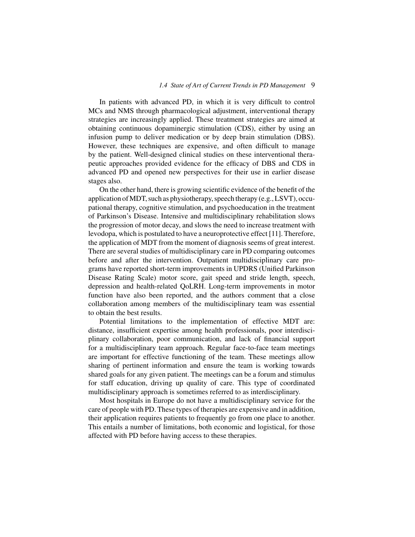In patients with advanced PD, in which it is very difficult to control MCs and NMS through pharmacological adjustment, interventional therapy strategies are increasingly applied. These treatment strategies are aimed at obtaining continuous dopaminergic stimulation (CDS), either by using an infusion pump to deliver medication or by deep brain stimulation (DBS). However, these techniques are expensive, and often difficult to manage by the patient. Well-designed clinical studies on these interventional therapeutic approaches provided evidence for the efficacy of DBS and CDS in advanced PD and opened new perspectives for their use in earlier disease stages also.

On the other hand, there is growing scientific evidence of the benefit of the application of MDT, such as physiotherapy, speech therapy (e.g., LSVT), occupational therapy, cognitive stimulation, and psychoeducation in the treatment of Parkinson's Disease. Intensive and multidisciplinary rehabilitation slows the progression of motor decay, and slows the need to increase treatment with levodopa, which is postulated to have a neuroprotective effect [11]. Therefore, the application of MDT from the moment of diagnosis seems of great interest. There are several studies of multidisciplinary care in PD comparing outcomes before and after the intervention. Outpatient multidisciplinary care programs have reported short-term improvements in UPDRS (Unified Parkinson Disease Rating Scale) motor score, gait speed and stride length, speech, depression and health-related QoLRH. Long-term improvements in motor function have also been reported, and the authors comment that a close collaboration among members of the multidisciplinary team was essential to obtain the best results.

Potential limitations to the implementation of effective MDT are: distance, insufficient expertise among health professionals, poor interdisciplinary collaboration, poor communication, and lack of financial support for a multidisciplinary team approach. Regular face-to-face team meetings are important for effective functioning of the team. These meetings allow sharing of pertinent information and ensure the team is working towards shared goals for any given patient. The meetings can be a forum and stimulus for staff education, driving up quality of care. This type of coordinated multidisciplinary approach is sometimes referred to as interdisciplinary.

Most hospitals in Europe do not have a multidisciplinary service for the care of people with PD. These types of therapies are expensive and in addition, their application requires patients to frequently go from one place to another. This entails a number of limitations, both economic and logistical, for those affected with PD before having access to these therapies.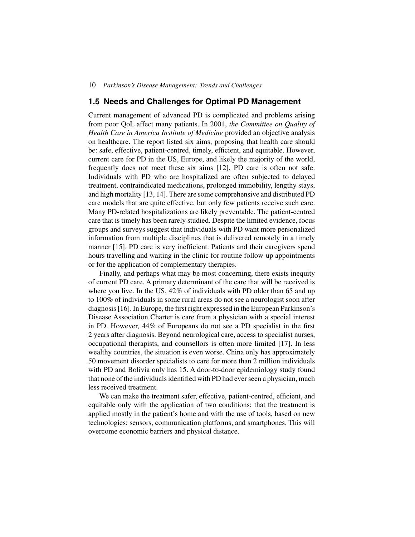# **1.5 Needs and Challenges for Optimal PD Management**

Current management of advanced PD is complicated and problems arising from poor QoL affect many patients. In 2001, *the Committee on Quality of Health Care in America Institute of Medicine* provided an objective analysis on healthcare. The report listed six aims, proposing that health care should be: safe, effective, patient-centred, timely, efficient, and equitable. However, current care for PD in the US, Europe, and likely the majority of the world, frequently does not meet these six aims [12]. PD care is often not safe. Individuals with PD who are hospitalized are often subjected to delayed treatment, contraindicated medications, prolonged immobility, lengthy stays, and high mortality [13, 14]. There are some comprehensive and distributed PD care models that are quite effective, but only few patients receive such care. Many PD-related hospitalizations are likely preventable. The patient-centred care that is timely has been rarely studied. Despite the limited evidence, focus groups and surveys suggest that individuals with PD want more personalized information from multiple disciplines that is delivered remotely in a timely manner [15]. PD care is very inefficient. Patients and their caregivers spend hours travelling and waiting in the clinic for routine follow-up appointments or for the application of complementary therapies.

Finally, and perhaps what may be most concerning, there exists inequity of current PD care. A primary determinant of the care that will be received is where you live. In the US, 42% of individuals with PD older than 65 and up to 100% of individuals in some rural areas do not see a neurologist soon after diagnosis [16]. In Europe, the first right expressed in the European Parkinson's Disease Association Charter is care from a physician with a special interest in PD. However, 44% of Europeans do not see a PD specialist in the first 2 years after diagnosis. Beyond neurological care, access to specialist nurses, occupational therapists, and counsellors is often more limited [17]. In less wealthy countries, the situation is even worse. China only has approximately 50 movement disorder specialists to care for more than 2 million individuals with PD and Bolivia only has 15. A door-to-door epidemiology study found that none of the individuals identified with PD had ever seen a physician, much less received treatment.

We can make the treatment safer, effective, patient-centred, efficient, and equitable only with the application of two conditions: that the treatment is applied mostly in the patient's home and with the use of tools, based on new technologies: sensors, communication platforms, and smartphones. This will overcome economic barriers and physical distance.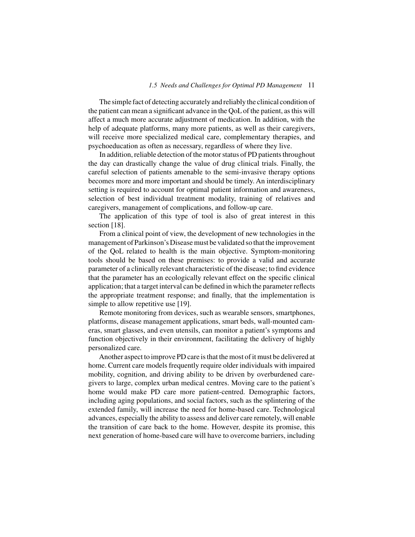The simple fact of detecting accurately and reliably the clinical condition of the patient can mean a significant advance in the QoL of the patient, as this will affect a much more accurate adjustment of medication. In addition, with the help of adequate platforms, many more patients, as well as their caregivers, will receive more specialized medical care, complementary therapies, and psychoeducation as often as necessary, regardless of where they live.

In addition, reliable detection of the motor status of PD patients throughout the day can drastically change the value of drug clinical trials. Finally, the careful selection of patients amenable to the semi-invasive therapy options becomes more and more important and should be timely. An interdisciplinary setting is required to account for optimal patient information and awareness, selection of best individual treatment modality, training of relatives and caregivers, management of complications, and follow-up care.

The application of this type of tool is also of great interest in this section [18].

From a clinical point of view, the development of new technologies in the management of Parkinson's Disease must be validated so that the improvement of the QoL related to health is the main objective. Symptom-monitoring tools should be based on these premises: to provide a valid and accurate parameter of a clinically relevant characteristic of the disease; to find evidence that the parameter has an ecologically relevant effect on the specific clinical application; that a target interval can be defined in which the parameter reflects the appropriate treatment response; and finally, that the implementation is simple to allow repetitive use [19].

Remote monitoring from devices, such as wearable sensors, smartphones, platforms, disease management applications, smart beds, wall-mounted cameras, smart glasses, and even utensils, can monitor a patient's symptoms and function objectively in their environment, facilitating the delivery of highly personalized care.

Another aspect to improve PD care is that the most of it must be delivered at home. Current care models frequently require older individuals with impaired mobility, cognition, and driving ability to be driven by overburdened caregivers to large, complex urban medical centres. Moving care to the patient's home would make PD care more patient-centred. Demographic factors, including aging populations, and social factors, such as the splintering of the extended family, will increase the need for home-based care. Technological advances, especially the ability to assess and deliver care remotely, will enable the transition of care back to the home. However, despite its promise, this next generation of home-based care will have to overcome barriers, including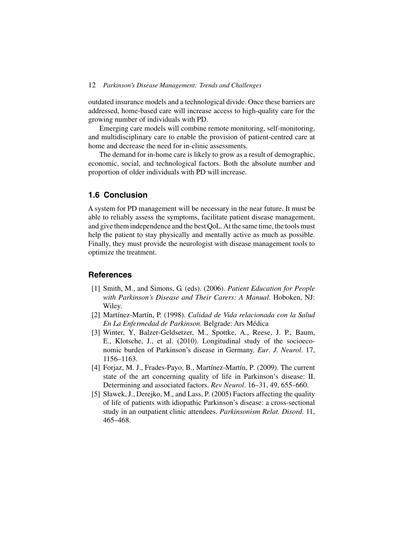outdated insurance models and a technological divide. Once these barriers are addressed, home-based care will increase access to high-quality care for the growing number of individuals with PD.

Emerging care models will combine remote monitoring, self-monitoring, and multidisciplinary care to enable the provision of patient-centred care at home and decrease the need for in-clinic assessments.

The demand for in-home care is likely to grow as a result of demographic, economic, social, and technological factors. Both the absolute number and proportion of older individuals with PD will increase.

# **1.6 Conclusion**

A system for PD management will be necessary in the near future. It must be able to reliably assess the symptoms, facilitate patient disease management, and give them independence and the best QoL.At the same time, the tools must help the patient to stay physically and mentally active as much as possible. Finally, they must provide the neurologist with disease management tools to optimize the treatment.

### **References**

- [1] Smith, M., and Simons, G. (eds). (2006). *Patient Education for People with Parkinson's Disease and Their Carers: A Manual*. Hoboken, NJ: Wiley.
- [2] Martínez-Martín, P. (1998). *Calidad de Vida relacionada con la Salud En La Enfermedad de Parkinson*. Belgrade: Ars Médica
- [3] Winter, Y, Balzer-Geldsetzer, M., Spottke, A., Reese, J. P., Baum, E., Klotsche, J., et al. (2010). Longitudinal study of the socioeconomic burden of Parkinson's disease in Germany. *Eur*. *J*. *Neurol*. 17, 1156–1163.
- [4] Forjaz, M. J., Frades-Payo, B., Martínez-Martín, P. (2009). The current state of the art concerning quality of life in Parkinson's disease: II. Determining and associated factors. *Rev Neurol*. 16–31, 49, 655–660.
- [5] Sławek, J., Derejko, M., and Lass, P. (2005) Factors affecting the quality of life of patients with idiopathic Parkinson's disease: a cross-sectional study in an outpatient clinic attendees. *Parkinsonism Relat. Disord*. 11, 465–468.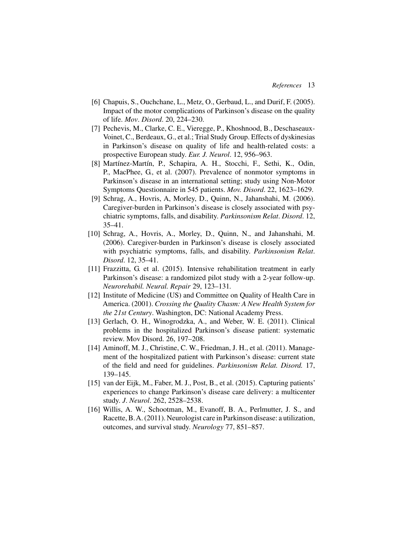- [6] Chapuis, S., Ouchchane, L., Metz, O., Gerbaud, L., and Durif, F. (2005). Impact of the motor complications of Parkinson's disease on the quality of life. *Mov*. *Disord*. 20, 224–230.
- [7] Pechevis, M., Clarke, C. E., Vieregge, P., Khoshnood, B., Deschaseaux-Voinet, C., Berdeaux, G., et al.; Trial Study Group. Effects of dyskinesias in Parkinson's disease on quality of life and health-related costs: a prospective European study. *Eur. J. Neurol*. 12, 956–963.
- [8] Martínez-Martín, P., Schapira, A. H., Stocchi, F., Sethi, K., Odin, P., MacPhee, G., et al. (2007). Prevalence of nonmotor symptoms in Parkinson's disease in an international setting; study using Non-Motor Symptoms Questionnaire in 545 patients. *Mov. Disord*. 22, 1623–1629.
- [9] Schrag, A., Hovris, A, Morley, D., Quinn, N., Jahanshahi, M. (2006). Caregiver-burden in Parkinson's disease is closely associated with psychiatric symptoms, falls, and disability. *Parkinsonism Relat*. *Disord*. 12, 35–41.
- [10] Schrag, A., Hovris, A., Morley, D., Quinn, N., and Jahanshahi, M. (2006). Caregiver-burden in Parkinson's disease is closely associated with psychiatric symptoms, falls, and disability. *Parkinsonism Relat*. *Disord*. 12, 35–41.
- [11] Frazzitta, G. et al. (2015). Intensive rehabilitation treatment in early Parkinson's disease: a randomized pilot study with a 2-year follow-up. *Neurorehabil. Neural. Repair* 29, 123–131*.*
- [12] Institute of Medicine (US) and Committee on Quality of Health Care in America. (2001). *Crossing the Quality Chasm: A New Health System for the 21st Century*. Washington, DC: National Academy Press.
- [13] Gerlach, O. H., Winogrodzka, A., and Weber, W. E. (2011). Clinical problems in the hospitalized Parkinson's disease patient: systematic review. Mov Disord. 26, 197–208.
- [14] Aminoff, M. J., Christine, C. W., Friedman, J. H., et al. (2011). Management of the hospitalized patient with Parkinson's disease: current state of the field and need for guidelines. *Parkinsonism Relat. Disord.* 17, 139–145.
- [15] van der Eijk, M., Faber, M. J., Post, B., et al. (2015). Capturing patients' experiences to change Parkinson's disease care delivery: a multicenter study. *J*. *Neurol*. 262, 2528–2538.
- [16] Willis, A. W., Schootman, M., Evanoff, B. A., Perlmutter, J. S., and Racette, B.A. (2011). Neurologist care in Parkinson disease: a utilization, outcomes, and survival study. *Neurology* 77, 851–857.